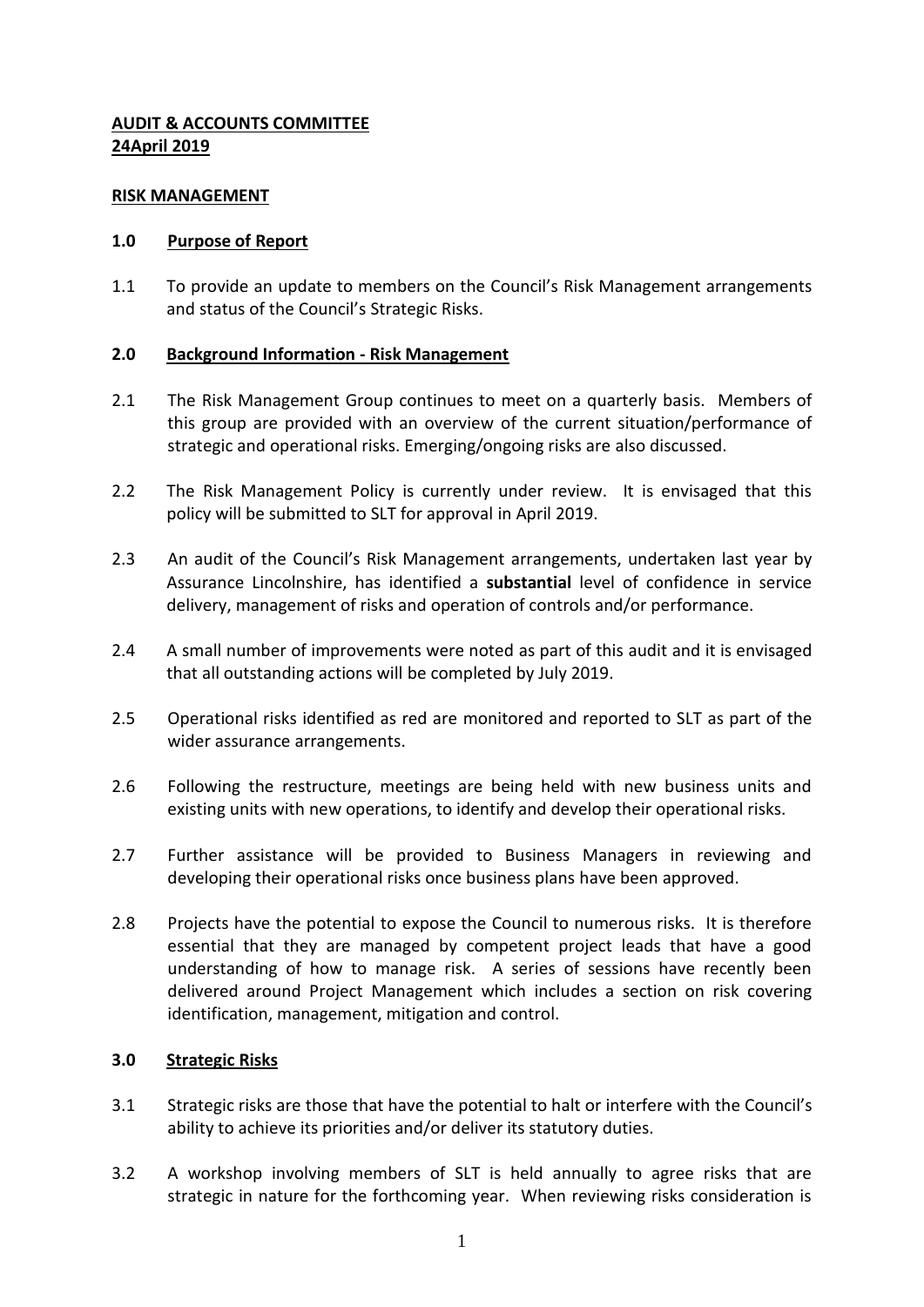## **AUDIT & ACCOUNTS COMMITTEE 24April 2019**

#### **RISK MANAGEMENT**

## **1.0 Purpose of Report**

1.1 To provide an update to members on the Council's Risk Management arrangements and status of the Council's Strategic Risks.

## **2.0 Background Information - Risk Management**

- 2.1 The Risk Management Group continues to meet on a quarterly basis. Members of this group are provided with an overview of the current situation/performance of strategic and operational risks. Emerging/ongoing risks are also discussed.
- 2.2 The Risk Management Policy is currently under review. It is envisaged that this policy will be submitted to SLT for approval in April 2019.
- 2.3 An audit of the Council's Risk Management arrangements, undertaken last year by Assurance Lincolnshire, has identified a **substantial** level of confidence in service delivery, management of risks and operation of controls and/or performance.
- 2.4 A small number of improvements were noted as part of this audit and it is envisaged that all outstanding actions will be completed by July 2019.
- 2.5 Operational risks identified as red are monitored and reported to SLT as part of the wider assurance arrangements.
- 2.6 Following the restructure, meetings are being held with new business units and existing units with new operations, to identify and develop their operational risks.
- 2.7 Further assistance will be provided to Business Managers in reviewing and developing their operational risks once business plans have been approved.
- 2.8 Projects have the potential to expose the Council to numerous risks. It is therefore essential that they are managed by competent project leads that have a good understanding of how to manage risk. A series of sessions have recently been delivered around Project Management which includes a section on risk covering identification, management, mitigation and control.

#### **3.0 Strategic Risks**

- 3.1 Strategic risks are those that have the potential to halt or interfere with the Council's ability to achieve its priorities and/or deliver its statutory duties.
- 3.2 A workshop involving members of SLT is held annually to agree risks that are strategic in nature for the forthcoming year. When reviewing risks consideration is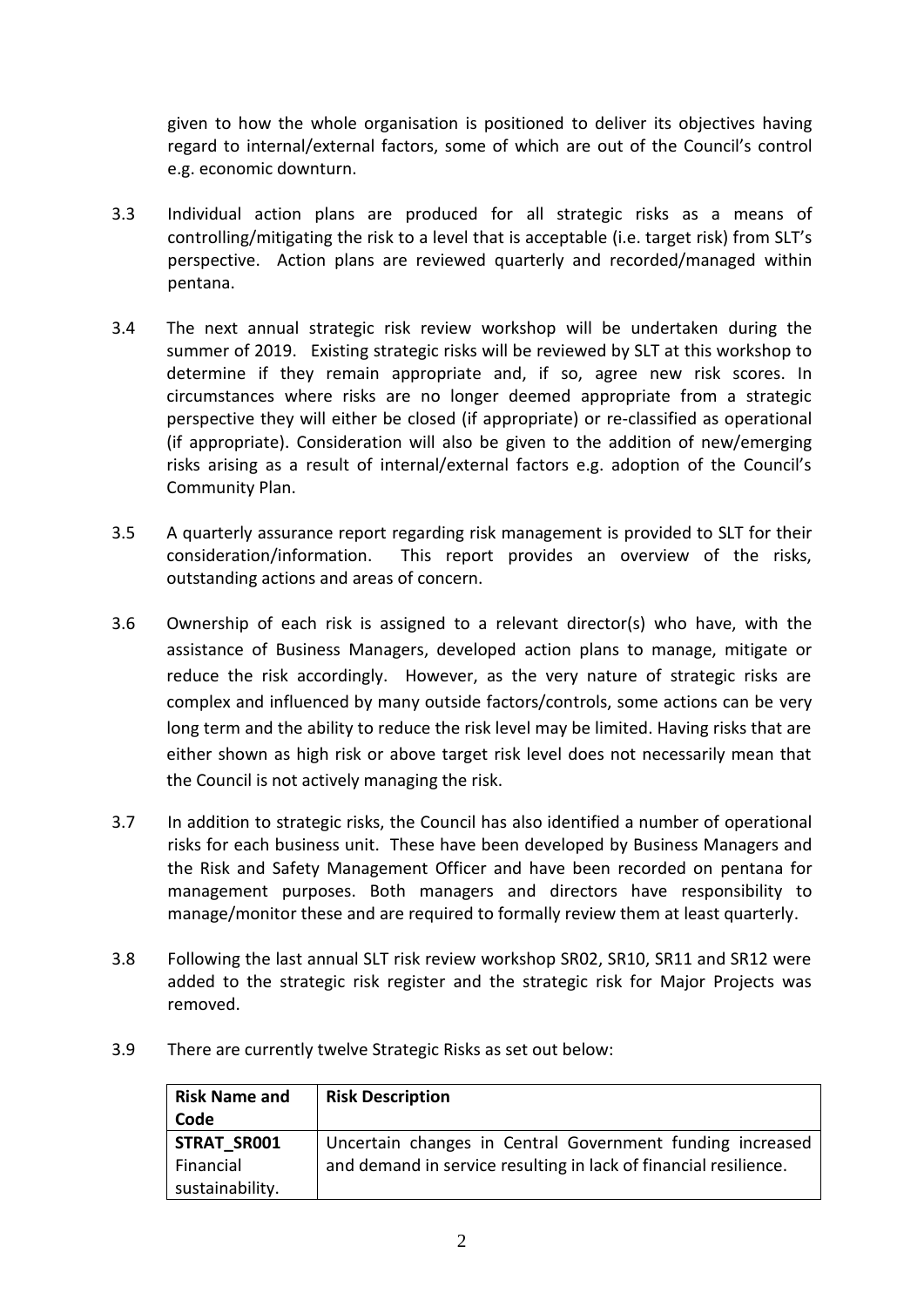given to how the whole organisation is positioned to deliver its objectives having regard to internal/external factors, some of which are out of the Council's control e.g. economic downturn.

- 3.3 Individual action plans are produced for all strategic risks as a means of controlling/mitigating the risk to a level that is acceptable (i.e. target risk) from SLT's perspective. Action plans are reviewed quarterly and recorded/managed within pentana.
- 3.4 The next annual strategic risk review workshop will be undertaken during the summer of 2019. Existing strategic risks will be reviewed by SLT at this workshop to determine if they remain appropriate and, if so, agree new risk scores. In circumstances where risks are no longer deemed appropriate from a strategic perspective they will either be closed (if appropriate) or re-classified as operational (if appropriate). Consideration will also be given to the addition of new/emerging risks arising as a result of internal/external factors e.g. adoption of the Council's Community Plan.
- 3.5 A quarterly assurance report regarding risk management is provided to SLT for their consideration/information. This report provides an overview of the risks, outstanding actions and areas of concern.
- 3.6 Ownership of each risk is assigned to a relevant director(s) who have, with the assistance of Business Managers, developed action plans to manage, mitigate or reduce the risk accordingly. However, as the very nature of strategic risks are complex and influenced by many outside factors/controls, some actions can be very long term and the ability to reduce the risk level may be limited. Having risks that are either shown as high risk or above target risk level does not necessarily mean that the Council is not actively managing the risk.
- 3.7 In addition to strategic risks, the Council has also identified a number of operational risks for each business unit. These have been developed by Business Managers and the Risk and Safety Management Officer and have been recorded on pentana for management purposes. Both managers and directors have responsibility to manage/monitor these and are required to formally review them at least quarterly.
- 3.8 Following the last annual SLT risk review workshop SR02, SR10, SR11 and SR12 were added to the strategic risk register and the strategic risk for Major Projects was removed.
- 3.9 There are currently twelve Strategic Risks as set out below:

| <b>Risk Name and</b> | <b>Risk Description</b>                                          |
|----------------------|------------------------------------------------------------------|
| Code                 |                                                                  |
| <b>STRAT SR001</b>   | Uncertain changes in Central Government funding increased        |
| Financial            | and demand in service resulting in lack of financial resilience. |
| sustainability.      |                                                                  |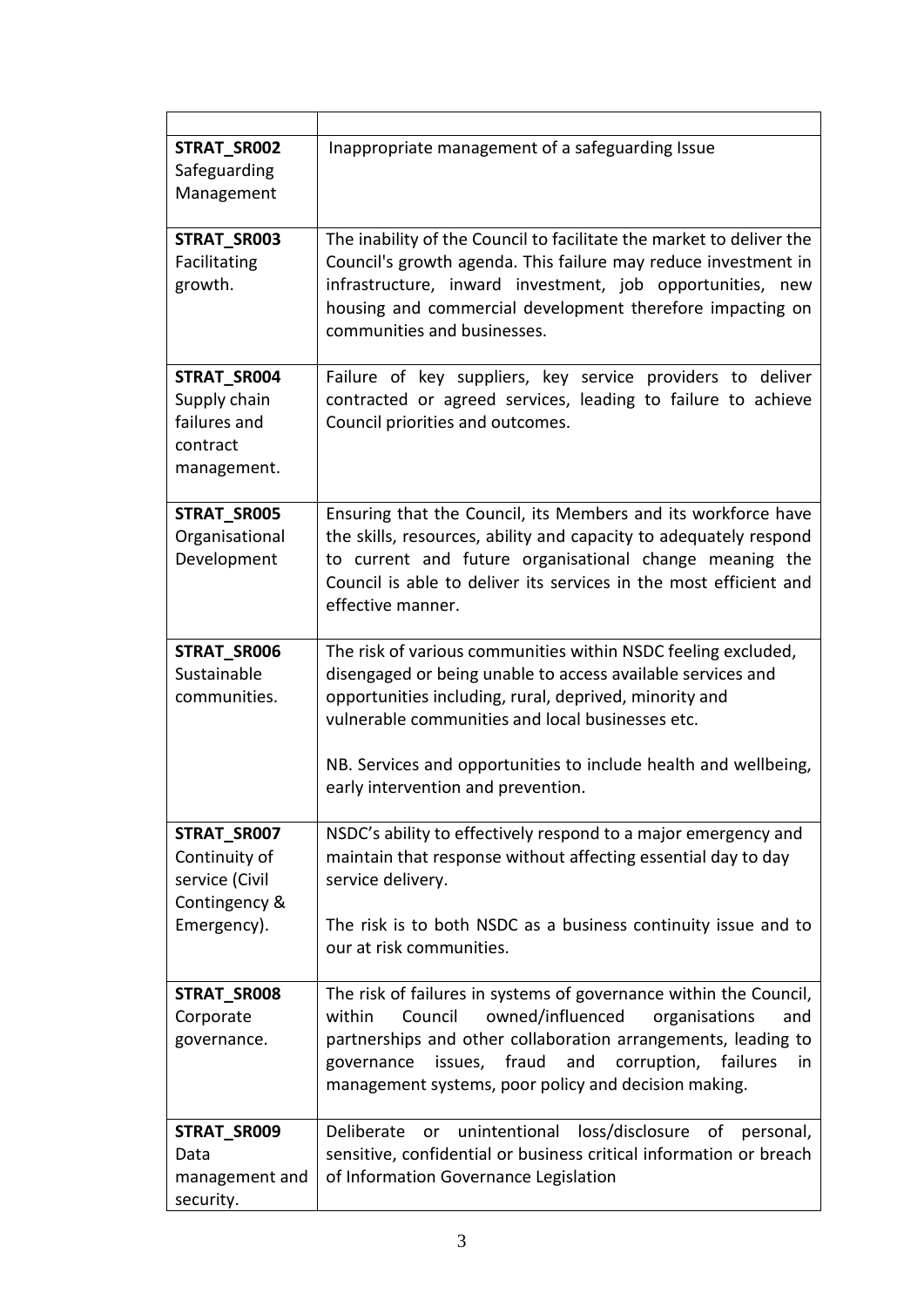| STRAT_SR002    | Inappropriate management of a safeguarding Issue                                       |  |  |
|----------------|----------------------------------------------------------------------------------------|--|--|
| Safeguarding   |                                                                                        |  |  |
| Management     |                                                                                        |  |  |
| STRAT_SR003    | The inability of the Council to facilitate the market to deliver the                   |  |  |
| Facilitating   | Council's growth agenda. This failure may reduce investment in                         |  |  |
| growth.        | infrastructure, inward investment, job opportunities, new                              |  |  |
|                | housing and commercial development therefore impacting on                              |  |  |
|                | communities and businesses.                                                            |  |  |
| STRAT_SR004    | Failure of key suppliers, key service providers to deliver                             |  |  |
| Supply chain   | contracted or agreed services, leading to failure to achieve                           |  |  |
| failures and   | Council priorities and outcomes.                                                       |  |  |
| contract       |                                                                                        |  |  |
| management.    |                                                                                        |  |  |
| STRAT_SR005    | Ensuring that the Council, its Members and its workforce have                          |  |  |
| Organisational | the skills, resources, ability and capacity to adequately respond                      |  |  |
| Development    | to current and future organisational change meaning the                                |  |  |
|                | Council is able to deliver its services in the most efficient and<br>effective manner. |  |  |
|                |                                                                                        |  |  |
| STRAT_SR006    | The risk of various communities within NSDC feeling excluded,                          |  |  |
| Sustainable    | disengaged or being unable to access available services and                            |  |  |
| communities.   | opportunities including, rural, deprived, minority and                                 |  |  |
|                | vulnerable communities and local businesses etc.                                       |  |  |
|                | NB. Services and opportunities to include health and wellbeing,                        |  |  |
|                | early intervention and prevention.                                                     |  |  |
| STRAT_SR007    | NSDC's ability to effectively respond to a major emergency and                         |  |  |
| Continuity of  | maintain that response without affecting essential day to day                          |  |  |
| service (Civil | service delivery.                                                                      |  |  |
| Contingency &  |                                                                                        |  |  |
| Emergency).    | The risk is to both NSDC as a business continuity issue and to                         |  |  |
|                | our at risk communities.                                                               |  |  |
| STRAT_SR008    | The risk of failures in systems of governance within the Council,                      |  |  |
| Corporate      | owned/influenced<br>Council<br>organisations<br>within<br>and                          |  |  |
| governance.    | partnerships and other collaboration arrangements, leading to                          |  |  |
|                | issues, fraud<br>and<br>corruption, failures<br>governance<br>in.                      |  |  |
|                | management systems, poor policy and decision making.                                   |  |  |
| STRAT_SR009    | unintentional<br>loss/disclosure<br>οf<br>Deliberate<br>personal,<br><b>or</b>         |  |  |
| Data           | sensitive, confidential or business critical information or breach                     |  |  |
| management and | of Information Governance Legislation                                                  |  |  |
| security.      |                                                                                        |  |  |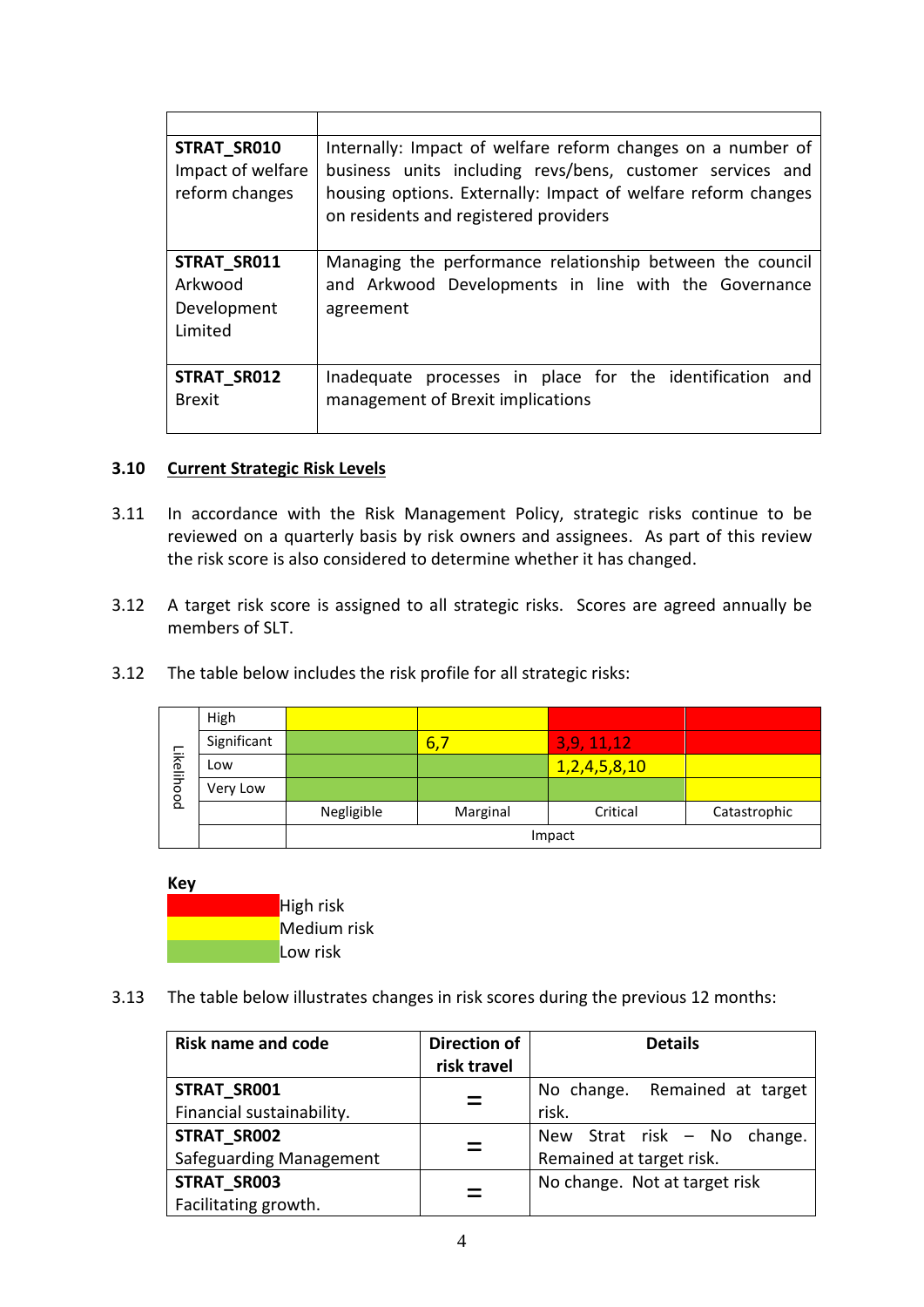| STRAT SR010<br>Impact of welfare<br>reform changes | Internally: Impact of welfare reform changes on a number of<br>business units including revs/bens, customer services and<br>housing options. Externally: Impact of welfare reform changes<br>on residents and registered providers |
|----------------------------------------------------|------------------------------------------------------------------------------------------------------------------------------------------------------------------------------------------------------------------------------------|
| STRAT SR011<br>Arkwood<br>Development<br>Limited   | Managing the performance relationship between the council<br>and Arkwood Developments in line with the Governance<br>agreement                                                                                                     |
| STRAT SR012<br><b>Brexit</b>                       | Inadequate processes in place for the identification and<br>management of Brexit implications                                                                                                                                      |

## **3.10 Current Strategic Risk Levels**

- 3.11 In accordance with the Risk Management Policy, strategic risks continue to be reviewed on a quarterly basis by risk owners and assignees. As part of this review the risk score is also considered to determine whether it has changed.
- 3.12 A target risk score is assigned to all strategic risks. Scores are agreed annually be members of SLT.
- 3.12 The table below includes the risk profile for all strategic risks:

| Likelihood | High        |            |          |                   |              |
|------------|-------------|------------|----------|-------------------|--------------|
|            | Significant |            | 6,       | 3,9,11,12         |              |
|            | Low         |            |          | 1, 2, 4, 5, 8, 10 |              |
|            | Very Low    |            |          |                   |              |
|            |             | Negligible | Marginal | Critical          | Catastrophic |
|            |             | Impact     |          |                   |              |



3.13 The table below illustrates changes in risk scores during the previous 12 months:

| <b>Risk name and code</b> | <b>Direction of</b> | <b>Details</b>                |
|---------------------------|---------------------|-------------------------------|
|                           | risk travel         |                               |
| <b>STRAT SR001</b>        | $\equiv$            | No change. Remained at target |
| Financial sustainability. |                     | risk.                         |
| STRAT SR002               |                     | New Strat risk - No change.   |
| Safeguarding Management   |                     | Remained at target risk.      |
| STRAT_SR003               |                     | No change. Not at target risk |
| Facilitating growth.      |                     |                               |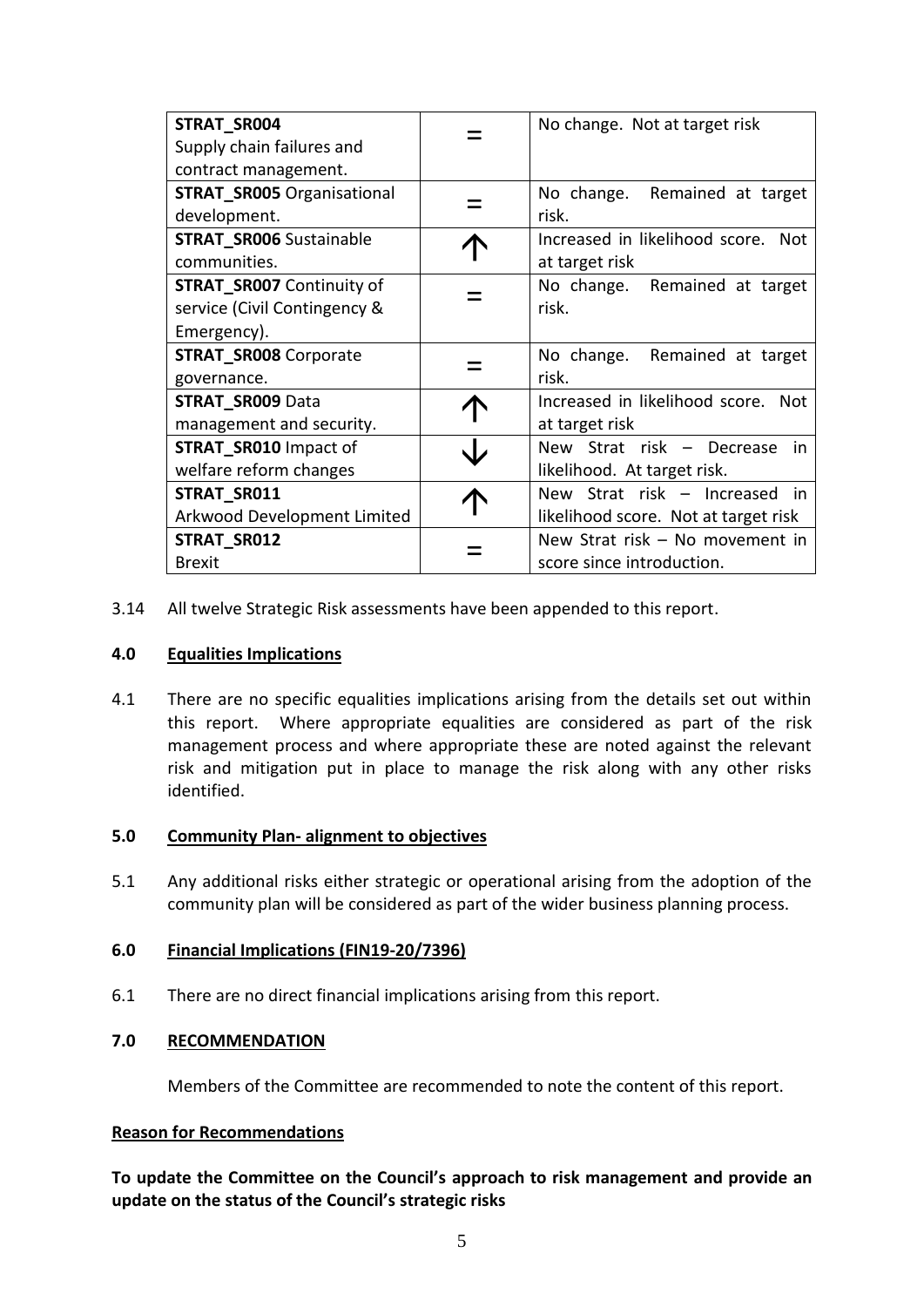| STRAT_SR004<br>Supply chain failures and<br>contract management.                | No change. Not at target risk                                         |
|---------------------------------------------------------------------------------|-----------------------------------------------------------------------|
| <b>STRAT_SR005 Organisational</b><br>development.                               | No change. Remained at target<br>risk.                                |
| <b>STRAT_SR006 Sustainable</b><br>communities.                                  | Increased in likelihood score. Not<br>at target risk                  |
| <b>STRAT SR007 Continuity of</b><br>service (Civil Contingency &<br>Emergency). | No change. Remained at target<br>risk.                                |
| <b>STRAT_SR008 Corporate</b><br>governance.                                     | No change. Remained at target<br>risk.                                |
| <b>STRAT_SR009 Data</b><br>management and security.                             | Increased in likelihood score. Not<br>at target risk                  |
| <b>STRAT SR010 Impact of</b><br>welfare reform changes                          | New Strat risk - Decrease<br>in<br>likelihood. At target risk.        |
| STRAT_SR011<br>Arkwood Development Limited                                      | New Strat risk - Increased in<br>likelihood score. Not at target risk |
| STRAT_SR012<br><b>Brexit</b>                                                    | New Strat risk - No movement in<br>score since introduction.          |

3.14 All twelve Strategic Risk assessments have been appended to this report.

#### **4.0 Equalities Implications**

4.1 There are no specific equalities implications arising from the details set out within this report. Where appropriate equalities are considered as part of the risk management process and where appropriate these are noted against the relevant risk and mitigation put in place to manage the risk along with any other risks identified.

#### **5.0 Community Plan- alignment to objectives**

5.1 Any additional risks either strategic or operational arising from the adoption of the community plan will be considered as part of the wider business planning process.

#### **6.0 Financial Implications (FIN19-20/7396)**

6.1 There are no direct financial implications arising from this report.

#### **7.0 RECOMMENDATION**

Members of the Committee are recommended to note the content of this report.

#### **Reason for Recommendations**

**To update the Committee on the Council's approach to risk management and provide an update on the status of the Council's strategic risks**